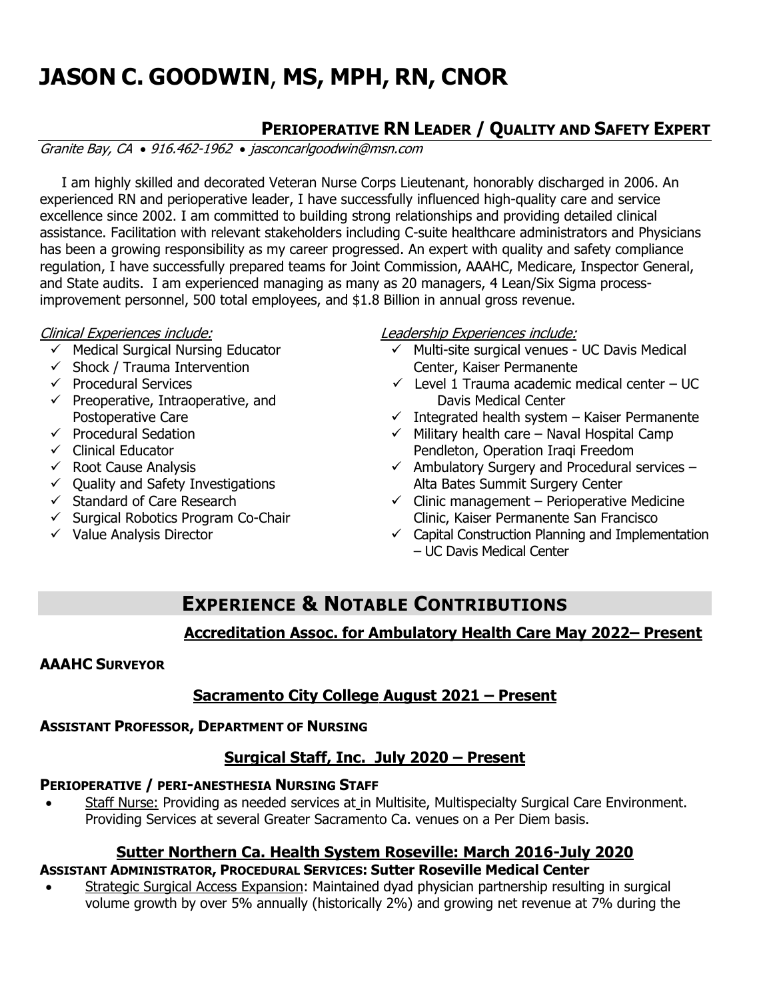# **JASON C. GOODWIN**, **MS, MPH, RN, CNOR**

# **PERIOPERATIVE RN LEADER / QUALITY AND SAFETY EXPERT**

Granite Bay, CA • 916.462-1962 • jasconcarlgoodwin@msn.com

 I am highly skilled and decorated Veteran Nurse Corps Lieutenant, honorably discharged in 2006. An experienced RN and perioperative leader, I have successfully influenced high-quality care and service excellence since 2002. I am committed to building strong relationships and providing detailed clinical assistance. Facilitation with relevant stakeholders including C-suite healthcare administrators and Physicians has been a growing responsibility as my career progressed. An expert with quality and safety compliance regulation, I have successfully prepared teams for Joint Commission, AAAHC, Medicare, Inspector General, and State audits. I am experienced managing as many as 20 managers, 4 Lean/Six Sigma processimprovement personnel, 500 total employees, and \$1.8 Billion in annual gross revenue.

#### Clinical Experiences include:

- ✓ Medical Surgical Nursing Educator
- $\checkmark$  Shock / Trauma Intervention
- ✓ Procedural Services
- $\checkmark$  Preoperative, Intraoperative, and Postoperative Care
- $\checkmark$  Procedural Sedation
- ✓ Clinical Educator
- $\checkmark$  Root Cause Analysis
- $\checkmark$  Quality and Safety Investigations
- ✓ Standard of Care Research
- ✓ Surgical Robotics Program Co-Chair
- $\checkmark$  Value Analysis Director

# Leadership Experiences include:

- ✓ Multi-site surgical venues UC Davis Medical Center, Kaiser Permanente
- $\checkmark$  Level 1 Trauma academic medical center UC Davis Medical Center
- $\checkmark$  Integrated health system Kaiser Permanente
- $\checkmark$  Military health care Naval Hospital Camp Pendleton, Operation Iraqi Freedom
- $\checkmark$  Ambulatory Surgery and Procedural services Alta Bates Summit Surgery Center
- $\checkmark$  Clinic management Perioperative Medicine Clinic, Kaiser Permanente San Francisco
- $\checkmark$  Capital Construction Planning and Implementation – UC Davis Medical Center

# **EXPERIENCE & NOTABLE CONTRIBUTIONS**

# **Accreditation Assoc. for Ambulatory Health Care May 2022– Present**

# **AAAHC SURVEYOR**

# **Sacramento City College August 2021 – Present**

# **ASSISTANT PROFESSOR, DEPARTMENT OF NURSING**

# **Surgical Staff, Inc. July 2020 – Present**

# **PERIOPERATIVE / PERI-ANESTHESIA NURSING STAFF**

Staff Nurse: Providing as needed services at in Multisite, Multispecialty Surgical Care Environment. Providing Services at several Greater Sacramento Ca. venues on a Per Diem basis.

# **Sutter Northern Ca. Health System Roseville: March 2016-July 2020**

- **ASSISTANT ADMINISTRATOR, PROCEDURAL SERVICES: Sutter Roseville Medical Center**
- Strategic Surgical Access Expansion: Maintained dyad physician partnership resulting in surgical volume growth by over 5% annually (historically 2%) and growing net revenue at 7% during the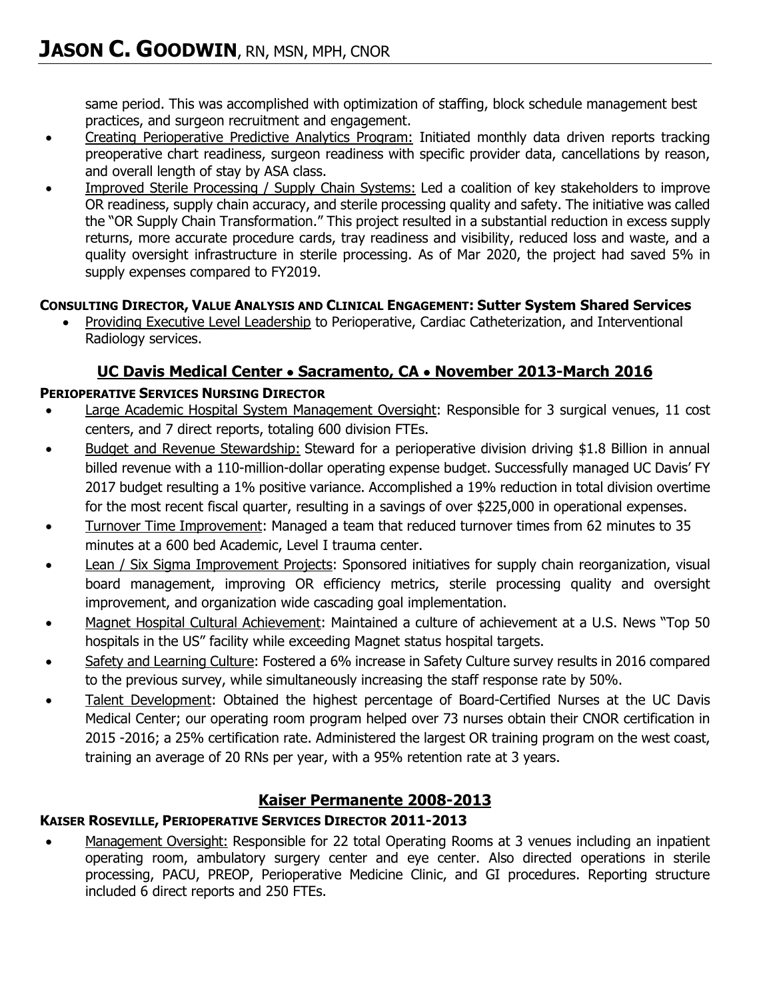same period. This was accomplished with optimization of staffing, block schedule management best practices, and surgeon recruitment and engagement.

- Creating Perioperative Predictive Analytics Program: Initiated monthly data driven reports tracking preoperative chart readiness, surgeon readiness with specific provider data, cancellations by reason, and overall length of stay by ASA class.
- Improved Sterile Processing / Supply Chain Systems: Led a coalition of key stakeholders to improve OR readiness, supply chain accuracy, and sterile processing quality and safety. The initiative was called the "OR Supply Chain Transformation." This project resulted in a substantial reduction in excess supply returns, more accurate procedure cards, tray readiness and visibility, reduced loss and waste, and a quality oversight infrastructure in sterile processing. As of Mar 2020, the project had saved 5% in supply expenses compared to FY2019.

# **CONSULTING DIRECTOR, VALUE ANALYSIS AND CLINICAL ENGAGEMENT: Sutter System Shared Services**

• Providing Executive Level Leadership to Perioperative, Cardiac Catheterization, and Interventional Radiology services.

# **UC Davis Medical Center** • **Sacramento, CA** • **November 2013-March 2016**

#### **PERIOPERATIVE SERVICES NURSING DIRECTOR**

- Large Academic Hospital System Management Oversight: Responsible for 3 surgical venues, 11 cost centers, and 7 direct reports, totaling 600 division FTEs.
- Budget and Revenue Stewardship: Steward for a perioperative division driving \$1.8 Billion in annual billed revenue with a 110-million-dollar operating expense budget. Successfully managed UC Davis' FY 2017 budget resulting a 1% positive variance. Accomplished a 19% reduction in total division overtime for the most recent fiscal quarter, resulting in a savings of over \$225,000 in operational expenses.
- Turnover Time Improvement: Managed a team that reduced turnover times from 62 minutes to 35 minutes at a 600 bed Academic, Level I trauma center.
- **Lean / Six Sigma Improvement Projects: Sponsored initiatives for supply chain reorganization, visual** board management, improving OR efficiency metrics, sterile processing quality and oversight improvement, and organization wide cascading goal implementation.
- Magnet Hospital Cultural Achievement: Maintained a culture of achievement at a U.S. News "Top 50 hospitals in the US" facility while exceeding Magnet status hospital targets.
- Safety and Learning Culture: Fostered a 6% increase in Safety Culture survey results in 2016 compared to the previous survey, while simultaneously increasing the staff response rate by 50%.
- Talent Development: Obtained the highest percentage of Board-Certified Nurses at the UC Davis Medical Center; our operating room program helped over 73 nurses obtain their CNOR certification in 2015 -2016; a 25% certification rate. Administered the largest OR training program on the west coast, training an average of 20 RNs per year, with a 95% retention rate at 3 years.

# **Kaiser Permanente 2008-2013**

# **KAISER ROSEVILLE, PERIOPERATIVE SERVICES DIRECTOR 2011-2013**

• Management Oversight: Responsible for 22 total Operating Rooms at 3 venues including an inpatient operating room, ambulatory surgery center and eye center. Also directed operations in sterile processing, PACU, PREOP, Perioperative Medicine Clinic, and GI procedures. Reporting structure included 6 direct reports and 250 FTEs.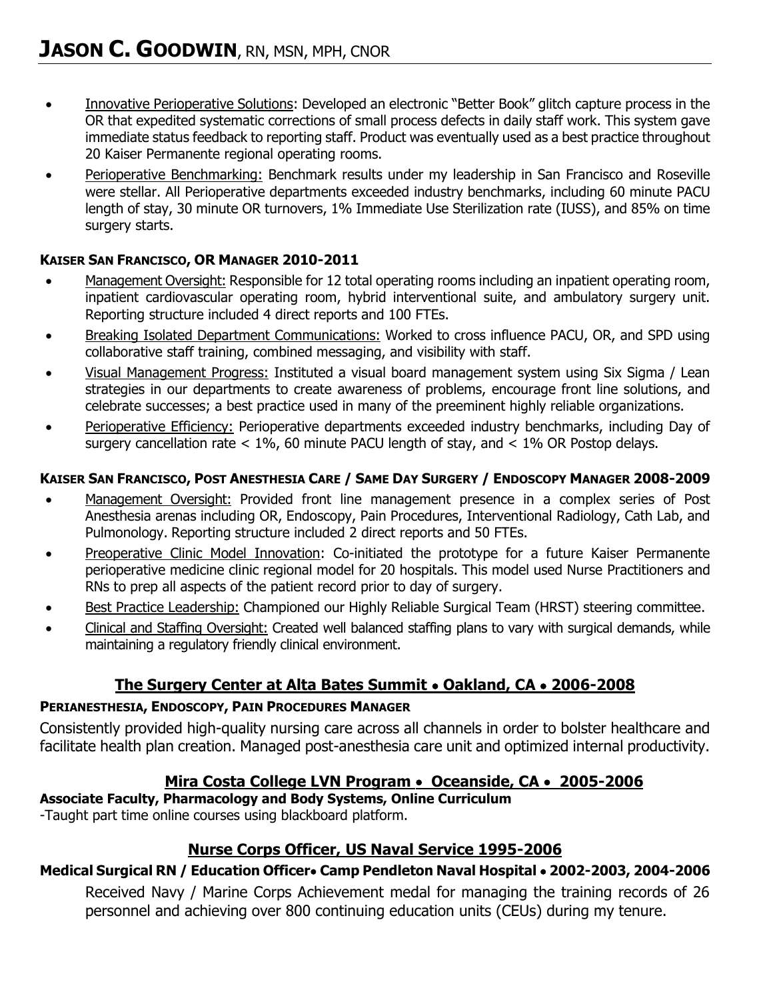- Innovative Perioperative Solutions: Developed an electronic "Better Book" glitch capture process in the OR that expedited systematic corrections of small process defects in daily staff work. This system gave immediate status feedback to reporting staff. Product was eventually used as a best practice throughout 20 Kaiser Permanente regional operating rooms.
- Perioperative Benchmarking: Benchmark results under my leadership in San Francisco and Roseville were stellar. All Perioperative departments exceeded industry benchmarks, including 60 minute PACU length of stay, 30 minute OR turnovers, 1% Immediate Use Sterilization rate (IUSS), and 85% on time surgery starts.

#### **KAISER SAN FRANCISCO, OR MANAGER 2010-2011**

- Management Oversight: Responsible for 12 total operating rooms including an inpatient operating room, inpatient cardiovascular operating room, hybrid interventional suite, and ambulatory surgery unit. Reporting structure included 4 direct reports and 100 FTEs.
- Breaking Isolated Department Communications: Worked to cross influence PACU, OR, and SPD using collaborative staff training, combined messaging, and visibility with staff.
- Visual Management Progress: Instituted a visual board management system using Six Sigma / Lean strategies in our departments to create awareness of problems, encourage front line solutions, and celebrate successes; a best practice used in many of the preeminent highly reliable organizations.
- Perioperative Efficiency: Perioperative departments exceeded industry benchmarks, including Day of surgery cancellation rate  $<$  1%, 60 minute PACU length of stay, and  $<$  1% OR Postop delays.

#### KAISER SAN FRANCISCO, POST ANESTHESIA CARE / SAME DAY SURGERY / ENDOSCOPY MANAGER 2008-2009

- Management Oversight: Provided front line management presence in a complex series of Post Anesthesia arenas including OR, Endoscopy, Pain Procedures, Interventional Radiology, Cath Lab, and Pulmonology. Reporting structure included 2 direct reports and 50 FTEs.
- Preoperative Clinic Model Innovation: Co-initiated the prototype for a future Kaiser Permanente perioperative medicine clinic regional model for 20 hospitals. This model used Nurse Practitioners and RNs to prep all aspects of the patient record prior to day of surgery.
- Best Practice Leadership: Championed our Highly Reliable Surgical Team (HRST) steering committee.
- Clinical and Staffing Oversight: Created well balanced staffing plans to vary with surgical demands, while maintaining a regulatory friendly clinical environment.

# **The Surgery Center at Alta Bates Summit** • **Oakland, CA** • **2006-2008**

#### **PERIANESTHESIA, ENDOSCOPY, PAIN PROCEDURES MANAGER**

Consistently provided high-quality nursing care across all channels in order to bolster healthcare and facilitate health plan creation. Managed post-anesthesia care unit and optimized internal productivity.

# **Mira Costa College LVN Program** • **Oceanside, CA** • **2005-2006**

# **Associate Faculty, Pharmacology and Body Systems, Online Curriculum**

-Taught part time online courses using blackboard platform.

# **Nurse Corps Officer, US Naval Service 1995-2006**

# **Medical Surgical RN / Education Officer**• **Camp Pendleton Naval Hospital** • **2002-2003, 2004-2006**

Received Navy / Marine Corps Achievement medal for managing the training records of 26 personnel and achieving over 800 continuing education units (CEUs) during my tenure.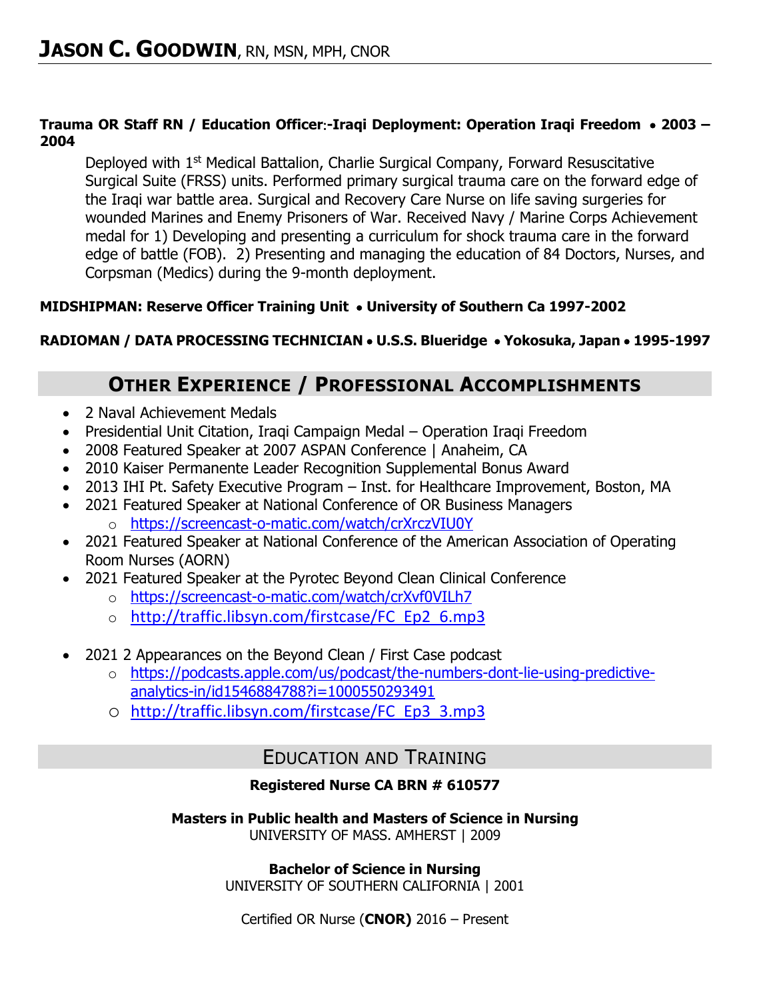#### **Trauma OR Staff RN / Education Officer-Iraqi Deployment: Operation Iraqi Freedom** • **2003 – 2004**

Deployed with 1<sup>st</sup> Medical Battalion, Charlie Surgical Company, Forward Resuscitative Surgical Suite (FRSS) units. Performed primary surgical trauma care on the forward edge of the Iraqi war battle area. Surgical and Recovery Care Nurse on life saving surgeries for wounded Marines and Enemy Prisoners of War. Received Navy / Marine Corps Achievement medal for 1) Developing and presenting a curriculum for shock trauma care in the forward edge of battle (FOB). 2) Presenting and managing the education of 84 Doctors, Nurses, and Corpsman (Medics) during the 9-month deployment.

# **MIDSHIPMAN: Reserve Officer Training Unit** • **University of Southern Ca 1997-2002**

# **RADIOMAN / DATA PROCESSING TECHNICIAN** • **U.S.S. Blueridge** • **Yokosuka, Japan** • **1995-1997**

# **OTHER EXPERIENCE / PROFESSIONAL ACCOMPLISHMENTS**

- 2 Naval Achievement Medals
- Presidential Unit Citation, Iraqi Campaign Medal Operation Iraqi Freedom
- 2008 Featured Speaker at 2007 ASPAN Conference | Anaheim, CA
- 2010 Kaiser Permanente Leader Recognition Supplemental Bonus Award
- 2013 IHI Pt. Safety Executive Program Inst. for Healthcare Improvement, Boston, MA
- 2021 Featured Speaker at National Conference of OR Business Managers o <https://screencast-o-matic.com/watch/crXrczVIU0Y>
- 2021 Featured Speaker at National Conference of the American Association of Operating Room Nurses (AORN)
- 2021 Featured Speaker at the Pyrotec Beyond Clean Clinical Conference
	- o <https://screencast-o-matic.com/watch/crXvf0VILh7>
	- o [http://traffic.libsyn.com/firstcase/FC\\_Ep2\\_6.mp3](http://traffic.libsyn.com/firstcase/FC_Ep2_6.mp3)
- 2021 2 Appearances on the Beyond Clean / First Case podcast
	- o [https://podcasts.apple.com/us/podcast/the-numbers-dont-lie-using-predictive](https://podcasts.apple.com/us/podcast/the-numbers-dont-lie-using-predictive-analytics-in/id1546884788?i=1000550293491)[analytics-in/id1546884788?i=1000550293491](https://podcasts.apple.com/us/podcast/the-numbers-dont-lie-using-predictive-analytics-in/id1546884788?i=1000550293491)
	- o [http://traffic.libsyn.com/firstcase/FC\\_Ep3\\_3.mp3](http://traffic.libsyn.com/firstcase/FC_Ep3_3.mp3)

# EDUCATION AND TRAINING

# **Registered Nurse CA BRN # 610577**

#### **Masters in Public health and Masters of Science in Nursing** UNIVERSITY OF MASS. AMHERST | 2009

**Bachelor of Science in Nursing**

UNIVERSITY OF SOUTHERN CALIFORNIA | 2001

Certified OR Nurse (**CNOR)** 2016 – Present